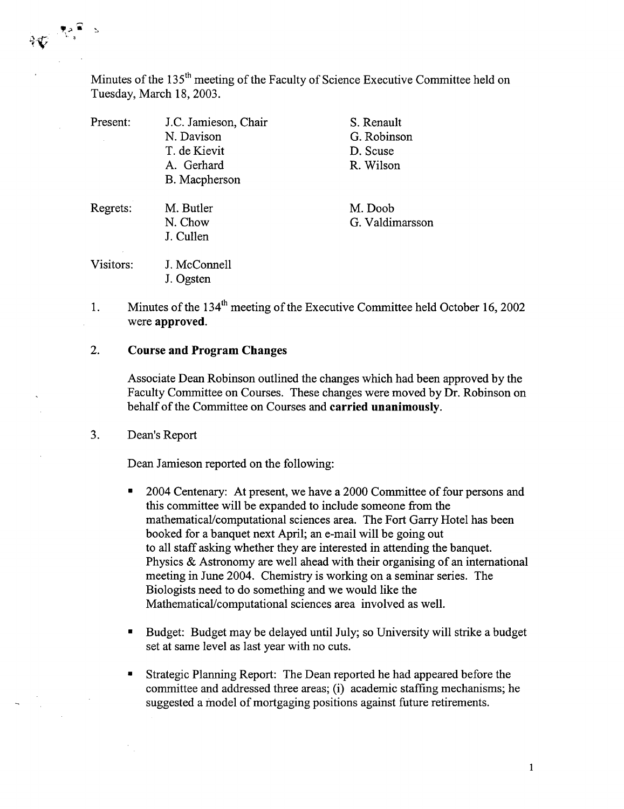Minutes of the 135<sup>th</sup> meeting of the Faculty of Science Executive Committee held on Tuesday, March 18, 2003.

| Present:  | J.C. Jamieson, Chair | S. Renault      |
|-----------|----------------------|-----------------|
|           | N. Davison           | G. Robinson     |
|           | T. de Kievit         | D. Scuse        |
|           | A. Gerhard           | R. Wilson       |
|           | B. Macpherson        |                 |
| Regrets:  | M. Butler            | M. Doob         |
|           | N. Chow              | G. Valdimarsson |
|           | J. Cullen            |                 |
| Visitors: | J. McConnell         |                 |
|           | J. Ogsten            |                 |

Minutes of the  $134<sup>th</sup>$  meeting of the Executive Committee held October 16, 2002  $\mathbf{1}$ . were **approved.** 

## 2. **Course and Program Changes**

Associate Dean Robinson outlined the changes which had been approved by the Faculty Committee on Courses. These changes were moved by Dr. Robinson on behalf of the Committee on Courses and **carried unanimously.** 

 $3.$ Dean's Report

 $\sqrt[n]{\mathbf{V}}$ 

Dean Jamieson reported on the following:

- 2004 Centenary: At present, we have a 2000 Committee of four persons and this committee will be expanded to include someone from the mathematical/computational sciences area. The Fort Garry Hotel has been booked for a banquet next April; an e-mail will be going out to all staff asking whether they are interested in attending the banquet. Physics & Astronomy are well ahead with their organising of an international meeting in June 2004. Chemistry is working on a seminar series. The Biologists need to do something and we would like the Mathematical/computational sciences area involved as well.
- Budget: Budget may be delayed until July; so University will strike a budget  $\blacksquare$ set at same level as last year with no cuts.
- Strategic Planning Report: The Dean reported he had appeared before the committee and addressed three areas; (i) academic staffing mechanisms; he suggested a model of mortgaging positions against future retirements.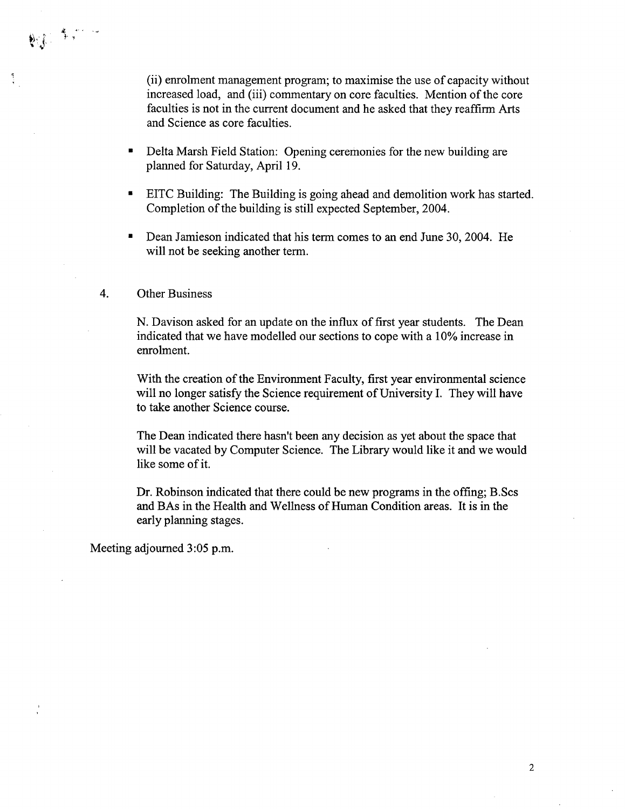(ii) enrolment management program; to maximise the use of capacity without increased load, and (iii) commentary on core faculties. Mention of the core faculties is not in the current document and he asked that they reaffirm Arts and Science as core faculties.

- Delta Marsh Field Station: Opening ceremonies for the new building are planned for Saturday, April 19.
- EITC Building: The Building is going ahead and demolition work has started.  $\blacksquare$ Completion of the building is still expected September, 2004.
- Dean Jamieson indicated that his term comes to an end June 30, 2004. He will not be seeking another term.

## 4. Other Business

**NESSER** 

N. Davison asked for an update on the influx of first year students. The Dean indicated that we have modelled our sections to cope with a 10% increase in enrolment.

With the creation of the Environment Faculty, first year environmental science will no longer satisfy the Science requirement of University I. They will have to take another Science course.

The Dean indicated there hasn't been any decision as yet about the space that will be vacated by Computer Science. The Library would like it and we would like some of it.

Dr. Robinson indicated that there could be new programs in the offing; B.Scs and BAs in the Health and Weilness of Human Condition areas. It is in the early planning stages.

Meeting adjourned 3:05 p.m.